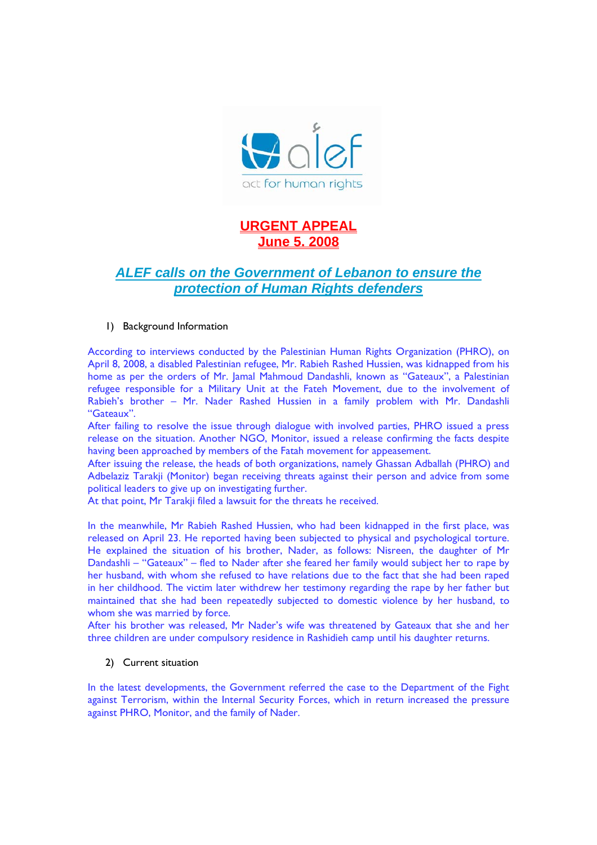

# **URGENT APPEAL June 5. 2008**

## *ALEF calls on the Government of Lebanon to ensure the protection of Human Rights defenders*

### 1) Background Information

According to interviews conducted by the Palestinian Human Rights Organization (PHRO), on April 8, 2008, a disabled Palestinian refugee, Mr. Rabieh Rashed Hussien, was kidnapped from his home as per the orders of Mr. Jamal Mahmoud Dandashli, known as "Gateaux", a Palestinian refugee responsible for a Military Unit at the Fateh Movement, due to the involvement of Rabieh's brother – Mr. Nader Rashed Hussien in a family problem with Mr. Dandashli "Gateaux".

After failing to resolve the issue through dialogue with involved parties, PHRO issued a press release on the situation. Another NGO, Monitor, issued a release confirming the facts despite having been approached by members of the Fatah movement for appeasement.

After issuing the release, the heads of both organizations, namely Ghassan Adballah (PHRO) and Adbelaziz Tarakji (Monitor) began receiving threats against their person and advice from some political leaders to give up on investigating further.

At that point. Mr Tarakii filed a lawsuit for the threats he received.

In the meanwhile, Mr Rabieh Rashed Hussien, who had been kidnapped in the first place, was released on April 23. He reported having been subjected to physical and psychological torture. He explained the situation of his brother, Nader, as follows: Nisreen, the daughter of Mr Dandashli – "Gateaux" – fled to Nader after she feared her family would subject her to rape by her husband, with whom she refused to have relations due to the fact that she had been raped in her childhood. The victim later withdrew her testimony regarding the rape by her father but maintained that she had been repeatedly subjected to domestic violence by her husband, to whom she was married by force.

After his brother was released, Mr Nader's wife was threatened by Gateaux that she and her three children are under compulsory residence in Rashidieh camp until his daughter returns.

### 2) Current situation

In the latest developments, the Government referred the case to the Department of the Fight against Terrorism, within the Internal Security Forces, which in return increased the pressure against PHRO, Monitor, and the family of Nader.